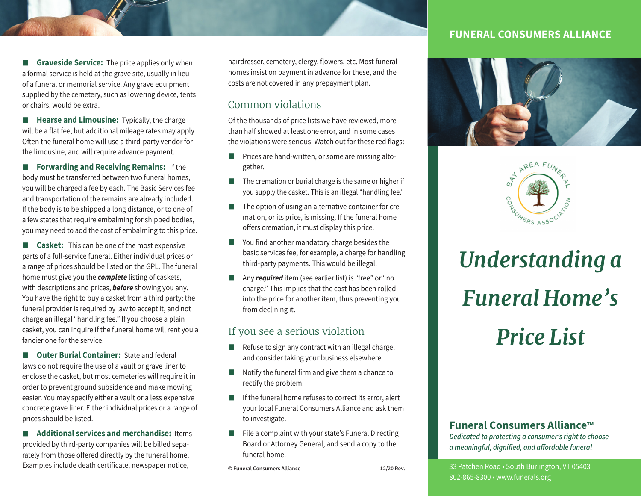**Graveside Service:** The price applies only when a formal service is held at the grave site, usually in lieu of a funeral or memorial service. Any grave equipment supplied by the cemetery, such as lowering device, tents or chairs, would be extra.

**Hearse and Limousine:** Typically, the charge will be a flat fee, but additional mileage rates may apply. Often the funeral home will use a third-party vendor for the limousine, and will require advance payment.

**Forwarding and Receiving Remains:** If the body must be transferred between two funeral homes, you will be charged a fee by each. The Basic Services fee and transportation of the remains are already included. If the body is to be shipped a long distance, or to one of a few states that require embalming for shipped bodies, you may need to add the cost of embalming to this price.

**Casket:** This can be one of the most expensive parts of a full-service funeral. Either individual prices or a range of prices should be listed on the GPL. The funeral home must give you the *complete* listing of caskets, with descriptions and prices, *before* showing you any. You have the right to buy a casket from a third party; the funeral provider is required by law to accept it, and not charge an illegal "handling fee." If you choose a plain casket, you can inquire if the funeral home will rent you a fancier one for the service.

 $\blacksquare$  **Outer Burial Container:** State and federal laws do not require the use of a vault or grave liner to enclose the casket, but most cemeteries will require it in order to prevent ground subsidence and make mowing easier. You may specify either a vault or a less expensive concrete grave liner. Either individual prices or a range of prices should be listed.

**Additional services and merchandise:** Items provided by third-party companies will be billed separately from those offered directly by the funeral home. Examples include death certificate, newspaper notice,

hairdresser, cemetery, clergy, flowers, etc. Most funeral homes insist on payment in advance for these, and the costs are not covered in any prepayment plan.

# Common violations

Of the thousands of price lists we have reviewed, more than half showed at least one error, and in some cases the violations were serious. Watch out for these red flags:

- **Prices are hand-written, or some are missing alto**gether.
- $\blacksquare$  The cremation or burial charge is the same or higher if you supply the casket. This is an illegal "handling fee."
- $\blacksquare$  The option of using an alternative container for cremation, or its price, is missing. If the funeral home offers cremation, it must display this price.
- You find another mandatory charge besides the basic services fee; for example, a charge for handling third-party payments. This would be illegal.
- **Any required** item (see earlier list) is "free" or "no charge." This implies that the cost has been rolled into the price for another item, thus preventing you from declining it.

### If you see a serious violation

- $\blacksquare$  Refuse to sign any contract with an illegal charge, and consider taking your business elsewhere.
- $\blacksquare$  Notify the funeral firm and give them a chance to rectify the problem.
- $\blacksquare$  If the funeral home refuses to correct its error, alert your local Funeral Consumers Alliance and ask them to investigate.
- $\blacksquare$  File a complaint with your state's Funeral Directing Board or Attorney General, and send a copy to the funeral home.

**© Funeral Consumers Alliance 12/20 Rev.**

### **FUNERAL CONSUMERS ALLIANCE**





# *Understanding a Funeral Home's Price List*

#### **Funeral Consumers Alliance™**

*Dedicated to protecting a consumer's right to choose a meaningful, dignified, and a***!***ordable funeral*